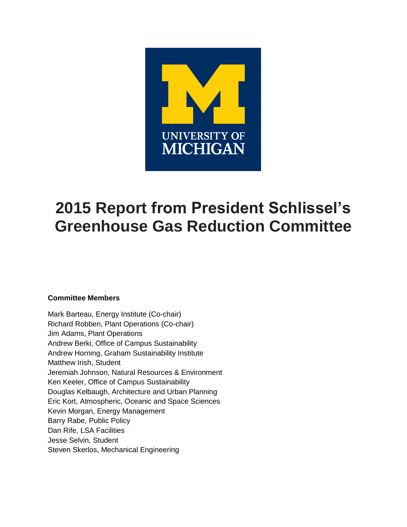

# **2015 Report from President Schlissel's Greenhouse Gas Reduction Committee**

## **Committee Members**

Mark Barteau, Energy Institute (Co-chair) Richard Robben, Plant Operations (Co-chair) Jim Adams, Plant Operations Andrew Berki, Office of Campus Sustainability Andrew Horning, Graham Sustainability Institute Matthew Irish, Student Jeremiah Johnson, Natural Resources & Environment Ken Keeler, Office of Campus Sustainability Douglas Kelbaugh, Architecture and Urban Planning Eric Kort, Atmospheric, Oceanic and Space Sciences Kevin Morgan, Energy Management Barry Rabe, Public Policy Dan Rife, LSA Facilities Jesse Selvin, Student Steven Skerlos, Mechanical Engineering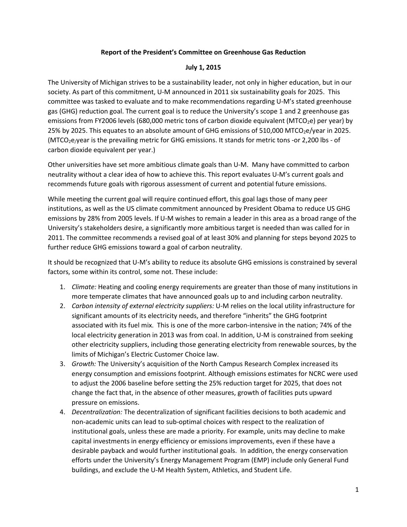## **Report of the President's Committee on Greenhouse Gas Reduction**

## **July 1, 2015**

The University of Michigan strives to be a sustainability leader, not only in higher education, but in our society. As part of this commitment, U-M announced in 2011 six sustainability goals for 2025. This committee was tasked to evaluate and to make recommendations regarding U-M's stated greenhouse gas (GHG) reduction goal. The current goal is to reduce the University's scope 1 and 2 greenhouse gas emissions from FY2006 levels (680,000 metric tons of carbon dioxide equivalent (MTCO<sub>2</sub>e) per year) by 25% by 2025. This equates to an absolute amount of GHG emissions of 510,000 MTCO<sub>2</sub>e/year in 2025. (MTCO<sub>2</sub>e/year is the prevailing metric for GHG emissions. It stands for metric tons -or 2,200 lbs - of carbon dioxide equivalent per year.)

Other universities have set more ambitious climate goals than U-M. Many have committed to carbon neutrality without a clear idea of how to achieve this. This report evaluates U-M's current goals and recommends future goals with rigorous assessment of current and potential future emissions.

While meeting the current goal will require continued effort, this goal lags those of many peer institutions, as well as the US climate commitment announced by President Obama to reduce US GHG emissions by 28% from 2005 levels. If U-M wishes to remain a leader in this area as a broad range of the University's stakeholders desire, a significantly more ambitious target is needed than was called for in 2011. The committee recommends a revised goal of at least 30% and planning for steps beyond 2025 to further reduce GHG emissions toward a goal of carbon neutrality.

It should be recognized that U-M's ability to reduce its absolute GHG emissions is constrained by several factors, some within its control, some not. These include:

- 1. *Climate:* Heating and cooling energy requirements are greater than those of many institutions in more temperate climates that have announced goals up to and including carbon neutrality.
- 2. *Carbon intensity of external electricity suppliers:* U-M relies on the local utility infrastructure for significant amounts of its electricity needs, and therefore "inherits" the GHG footprint associated with its fuel mix. This is one of the more carbon-intensive in the nation; 74% of the local electricity generation in 2013 was from coal. In addition, U-M is constrained from seeking other electricity suppliers, including those generating electricity from renewable sources, by the limits of Michigan's Electric Customer Choice law.
- 3. *Growth:* The University's acquisition of the North Campus Research Complex increased its energy consumption and emissions footprint. Although emissions estimates for NCRC were used to adjust the 2006 baseline before setting the 25% reduction target for 2025, that does not change the fact that, in the absence of other measures, growth of facilities puts upward pressure on emissions.
- 4. *Decentralization:* The decentralization of significant facilities decisions to both academic and non-academic units can lead to sub-optimal choices with respect to the realization of institutional goals, unless these are made a priority. For example, units may decline to make capital investments in energy efficiency or emissions improvements, even if these have a desirable payback and would further institutional goals. In addition, the energy conservation efforts under the University's Energy Management Program (EMP) include only General Fund buildings, and exclude the U-M Health System, Athletics, and Student Life.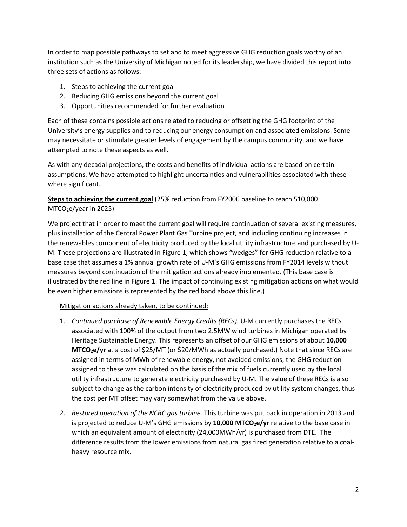In order to map possible pathways to set and to meet aggressive GHG reduction goals worthy of an institution such as the University of Michigan noted for its leadership, we have divided this report into three sets of actions as follows:

- 1. Steps to achieving the current goal
- 2. Reducing GHG emissions beyond the current goal
- 3. Opportunities recommended for further evaluation

Each of these contains possible actions related to reducing or offsetting the GHG footprint of the University's energy supplies and to reducing our energy consumption and associated emissions. Some may necessitate or stimulate greater levels of engagement by the campus community, and we have attempted to note these aspects as well.

As with any decadal projections, the costs and benefits of individual actions are based on certain assumptions. We have attempted to highlight uncertainties and vulnerabilities associated with these where significant.

**Steps to achieving the current goal** (25% reduction from FY2006 baseline to reach 510,000 MTCO2e/year in 2025)

We project that in order to meet the current goal will require continuation of several existing measures, plus installation of the Central Power Plant Gas Turbine project, and including continuing increases in the renewables component of electricity produced by the local utility infrastructure and purchased by U-M. These projections are illustrated in Figure 1, which shows "wedges" for GHG reduction relative to a base case that assumes a 1% annual growth rate of U-M's GHG emissions from FY2014 levels without measures beyond continuation of the mitigation actions already implemented. (This base case is illustrated by the red line in Figure 1. The impact of continuing existing mitigation actions on what would be even higher emissions is represented by the red band above this line.)

## Mitigation actions already taken, to be continued:

- 1. *Continued purchase of Renewable Energy Credits (RECs).* U-M currently purchases the RECs associated with 100% of the output from two 2.5MW wind turbines in Michigan operated by Heritage Sustainable Energy. This represents an offset of our GHG emissions of about **10,000 MTCO<sub>2</sub>e/yr** at a cost of \$25/MT (or \$20/MWh as actually purchased.) Note that since RECs are assigned in terms of MWh of renewable energy, not avoided emissions, the GHG reduction assigned to these was calculated on the basis of the mix of fuels currently used by the local utility infrastructure to generate electricity purchased by U-M. The value of these RECs is also subject to change as the carbon intensity of electricity produced by utility system changes, thus the cost per MT offset may vary somewhat from the value above.
- 2. *Restored operation of the NCRC gas turbine.* This turbine was put back in operation in 2013 and is projected to reduce U-M's GHG emissions by 10,000 MTCO<sub>2</sub>e/yr relative to the base case in which an equivalent amount of electricity (24,000MWh/yr) is purchased from DTE. The difference results from the lower emissions from natural gas fired generation relative to a coalheavy resource mix.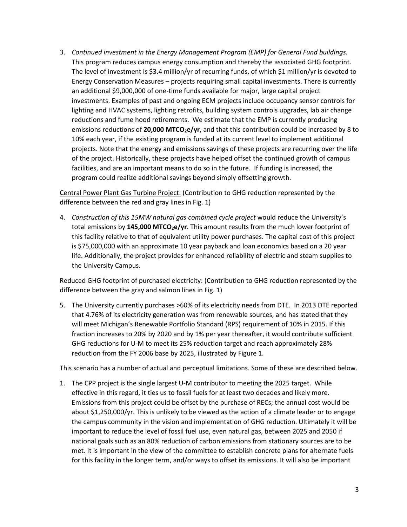3. *Continued investment in the Energy Management Program (EMP) for General Fund buildings.*  This program reduces campus energy consumption and thereby the associated GHG footprint. The level of investment is \$3.4 million/yr of recurring funds, of which \$1 million/yr is devoted to Energy Conservation Measures – projects requiring small capital investments. There is currently an additional \$9,000,000 of one-time funds available for major, large capital project investments. Examples of past and ongoing ECM projects include occupancy sensor controls for lighting and HVAC systems, lighting retrofits, building system controls upgrades, lab air change reductions and fume hood retirements. We estimate that the EMP is currently producing emissions reductions of 20,000 MTCO<sub>2</sub>e/yr, and that this contribution could be increased by 8 to 10% each year, if the existing program is funded at its current level to implement additional projects. Note that the energy and emissions savings of these projects are recurring over the life of the project. Historically, these projects have helped offset the continued growth of campus facilities, and are an important means to do so in the future. If funding is increased, the program could realize additional savings beyond simply offsetting growth.

Central Power Plant Gas Turbine Project: (Contribution to GHG reduction represented by the difference between the red and gray lines in Fig. 1)

4. *Construction of this 15MW natural gas combined cycle project* would reduce the University's total emissions by 145,000 MTCO<sub>2</sub>e/yr. This amount results from the much lower footprint of this facility relative to that of equivalent utility power purchases. The capital cost of this project is \$75,000,000 with an approximate 10 year payback and loan economics based on a 20 year life. Additionally, the project provides for enhanced reliability of electric and steam supplies to the University Campus.

Reduced GHG footprint of purchased electricity: (Contribution to GHG reduction represented by the difference between the gray and salmon lines in Fig. 1)

5. The University currently purchases >60% of its electricity needs from DTE. In 2013 DTE reported that 4.76% of its electricity generation was from renewable sources, and has stated that they will meet Michigan's Renewable Portfolio Standard (RPS) requirement of 10% in 2015. If this fraction increases to 20% by 2020 and by 1% per year thereafter, it would contribute sufficient GHG reductions for U-M to meet its 25% reduction target and reach approximately 28% reduction from the FY 2006 base by 2025, illustrated by Figure 1.

This scenario has a number of actual and perceptual limitations. Some of these are described below.

1. The CPP project is the single largest U-M contributor to meeting the 2025 target. While effective in this regard, it ties us to fossil fuels for at least two decades and likely more. Emissions from this project could be offset by the purchase of RECs; the annual cost would be about \$1,250,000/yr. This is unlikely to be viewed as the action of a climate leader or to engage the campus community in the vision and implementation of GHG reduction. Ultimately it will be important to reduce the level of fossil fuel use, even natural gas, between 2025 and 2050 if national goals such as an 80% reduction of carbon emissions from stationary sources are to be met. It is important in the view of the committee to establish concrete plans for alternate fuels for this facility in the longer term, and/or ways to offset its emissions. It will also be important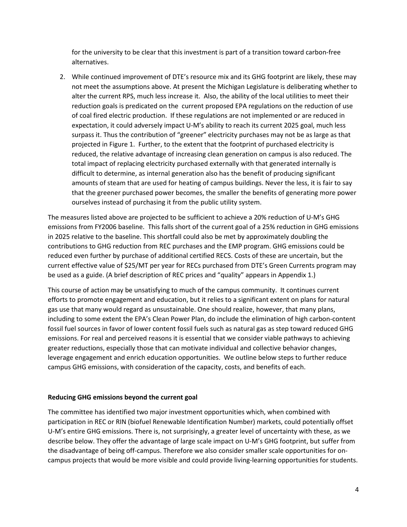for the university to be clear that this investment is part of a transition toward carbon-free alternatives.

2. While continued improvement of DTE's resource mix and its GHG footprint are likely, these may not meet the assumptions above. At present the Michigan Legislature is deliberating whether to alter the current RPS, much less increase it. Also, the ability of the local utilities to meet their reduction goals is predicated on the current proposed EPA regulations on the reduction of use of coal fired electric production. If these regulations are not implemented or are reduced in expectation, it could adversely impact U-M's ability to reach its current 2025 goal, much less surpass it. Thus the contribution of "greener" electricity purchases may not be as large as that projected in Figure 1. Further, to the extent that the footprint of purchased electricity is reduced, the relative advantage of increasing clean generation on campus is also reduced. The total impact of replacing electricity purchased externally with that generated internally is difficult to determine, as internal generation also has the benefit of producing significant amounts of steam that are used for heating of campus buildings. Never the less, it is fair to say that the greener purchased power becomes, the smaller the benefits of generating more power ourselves instead of purchasing it from the public utility system.

The measures listed above are projected to be sufficient to achieve a 20% reduction of U-M's GHG emissions from FY2006 baseline. This falls short of the current goal of a 25% reduction in GHG emissions in 2025 relative to the baseline. This shortfall could also be met by approximately doubling the contributions to GHG reduction from REC purchases and the EMP program. GHG emissions could be reduced even further by purchase of additional certified RECS. Costs of these are uncertain, but the current effective value of \$25/MT per year for RECs purchased from DTE's Green Currents program may be used as a guide. (A brief description of REC prices and "quality" appears in Appendix 1.)

This course of action may be unsatisfying to much of the campus community. It continues current efforts to promote engagement and education, but it relies to a significant extent on plans for natural gas use that many would regard as unsustainable. One should realize, however, that many plans, including to some extent the EPA's Clean Power Plan, do include the elimination of high carbon-content fossil fuel sources in favor of lower content fossil fuels such as natural gas as step toward reduced GHG emissions. For real and perceived reasons it is essential that we consider viable pathways to achieving greater reductions, especially those that can motivate individual and collective behavior changes, leverage engagement and enrich education opportunities. We outline below steps to further reduce campus GHG emissions, with consideration of the capacity, costs, and benefits of each.

## **Reducing GHG emissions beyond the current goal**

The committee has identified two major investment opportunities which, when combined with participation in REC or RIN (biofuel Renewable Identification Number) markets, could potentially offset U-M's entire GHG emissions. There is, not surprisingly, a greater level of uncertainty with these, as we describe below. They offer the advantage of large scale impact on U-M's GHG footprint, but suffer from the disadvantage of being off-campus. Therefore we also consider smaller scale opportunities for oncampus projects that would be more visible and could provide living-learning opportunities for students.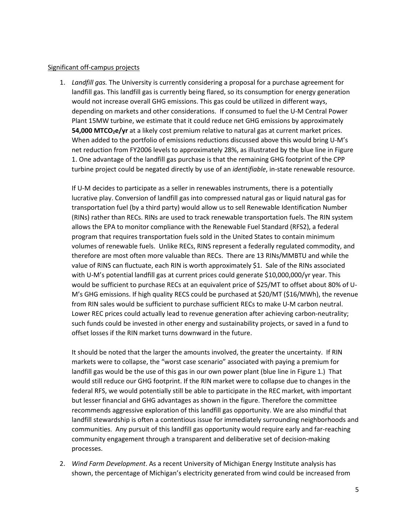#### Significant off-campus projects

1. *Landfill gas.* The University is currently considering a proposal for a purchase agreement for landfill gas. This landfill gas is currently being flared, so its consumption for energy generation would not increase overall GHG emissions. This gas could be utilized in different ways, depending on markets and other considerations. If consumed to fuel the U-M Central Power Plant 15MW turbine, we estimate that it could reduce net GHG emissions by approximately **54,000 MTCO<sub>2</sub>e/yr** at a likely cost premium relative to natural gas at current market prices. When added to the portfolio of emissions reductions discussed above this would bring U-M's net reduction from FY2006 levels to approximately 28%, as illustrated by the blue line in Figure 1. One advantage of the landfill gas purchase is that the remaining GHG footprint of the CPP turbine project could be negated directly by use of an *identifiable*, in-state renewable resource.

If U-M decides to participate as a seller in renewables instruments, there is a potentially lucrative play. Conversion of landfill gas into compressed natural gas or liquid natural gas for transportation fuel (by a third party) would allow us to sell Renewable Identification Number (RINs) rather than RECs. RINs are used to track renewable transportation fuels. The RIN system allows the EPA to monitor compliance with the Renewable Fuel Standard (RFS2), a federal program that requires transportation fuels sold in the United States to contain minimum volumes of renewable fuels. Unlike RECs, RINS represent a federally regulated commodity, and therefore are most often more valuable than RECs. There are 13 RINs/MMBTU and while the value of RINS can fluctuate, each RIN is worth approximately \$1. Sale of the RINs associated with U-M's potential landfill gas at current prices could generate \$10,000,000/yr year. This would be sufficient to purchase RECs at an equivalent price of \$25/MT to offset about 80% of U-M's GHG emissions. If high quality RECS could be purchased at \$20/MT (\$16/MWh), the revenue from RIN sales would be sufficient to purchase sufficient RECs to make U-M carbon neutral. Lower REC prices could actually lead to revenue generation after achieving carbon-neutrality; such funds could be invested in other energy and sustainability projects, or saved in a fund to offset losses if the RIN market turns downward in the future.

It should be noted that the larger the amounts involved, the greater the uncertainty. If RIN markets were to collapse, the "worst case scenario" associated with paying a premium for landfill gas would be the use of this gas in our own power plant (blue line in Figure 1.) That would still reduce our GHG footprint. If the RIN market were to collapse due to changes in the federal RFS, we would potentially still be able to participate in the REC market, with important but lesser financial and GHG advantages as shown in the figure. Therefore the committee recommends aggressive exploration of this landfill gas opportunity. We are also mindful that landfill stewardship is often a contentious issue for immediately surrounding neighborhoods and communities. Any pursuit of this landfill gas opportunity would require early and far-reaching community engagement through a transparent and deliberative set of decision-making processes.

2. *Wind Farm Development*. As a recent University of Michigan Energy Institute analysis has shown, the percentage of Michigan's electricity generated from wind could be increased from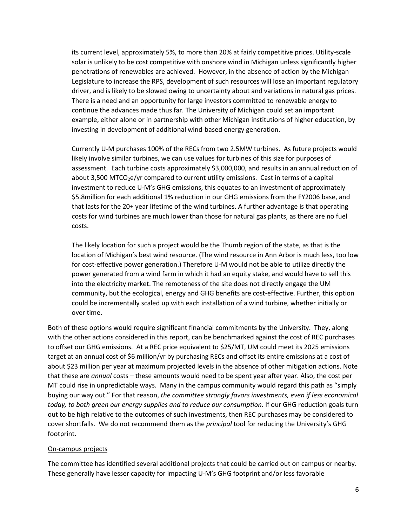its current level, approximately 5%, to more than 20% at fairly competitive prices. Utility-scale solar is unlikely to be cost competitive with onshore wind in Michigan unless significantly higher penetrations of renewables are achieved. However, in the absence of action by the Michigan Legislature to increase the RPS, development of such resources will lose an important regulatory driver, and is likely to be slowed owing to uncertainty about and variations in natural gas prices. There is a need and an opportunity for large investors committed to renewable energy to continue the advances made thus far. The University of Michigan could set an important example, either alone or in partnership with other Michigan institutions of higher education, by investing in development of additional wind-based energy generation.

Currently U-M purchases 100% of the RECs from two 2.5MW turbines. As future projects would likely involve similar turbines, we can use values for turbines of this size for purposes of assessment. Each turbine costs approximately \$3,000,000, and results in an annual reduction of about 3,500 MTCO<sub>2</sub>e/yr compared to current utility emissions. Cast in terms of a capital investment to reduce U-M's GHG emissions, this equates to an investment of approximately \$5.8million for each additional 1% reduction in our GHG emissions from the FY2006 base, and that lasts for the 20+ year lifetime of the wind turbines. A further advantage is that operating costs for wind turbines are much lower than those for natural gas plants, as there are no fuel costs.

The likely location for such a project would be the Thumb region of the state, as that is the location of Michigan's best wind resource. (The wind resource in Ann Arbor is much less, too low for cost-effective power generation.) Therefore U-M would not be able to utilize directly the power generated from a wind farm in which it had an equity stake, and would have to sell this into the electricity market. The remoteness of the site does not directly engage the UM community, but the ecological, energy and GHG benefits are cost-effective. Further, this option could be incrementally scaled up with each installation of a wind turbine, whether initially or over time.

Both of these options would require significant financial commitments by the University. They, along with the other actions considered in this report, can be benchmarked against the cost of REC purchases to offset our GHG emissions. At a REC price equivalent to \$25/MT, UM could meet its 2025 emissions target at an annual cost of \$6 million/yr by purchasing RECs and offset its entire emissions at a cost of about \$23 million per year at maximum projected levels in the absence of other mitigation actions. Note that these are *annual* costs – these amounts would need to be spent year after year. Also, the cost per MT could rise in unpredictable ways. Many in the campus community would regard this path as "simply buying our way out." For that reason, *the committee strongly favors investments, even if less economical today, to both green our energy supplies and to reduce our consumption.* If our GHG reduction goals turn out to be high relative to the outcomes of such investments, then REC purchases may be considered to cover shortfalls. We do not recommend them as the *principal* tool for reducing the University's GHG footprint.

## On-campus projects

The committee has identified several additional projects that could be carried out on campus or nearby. These generally have lesser capacity for impacting U-M's GHG footprint and/or less favorable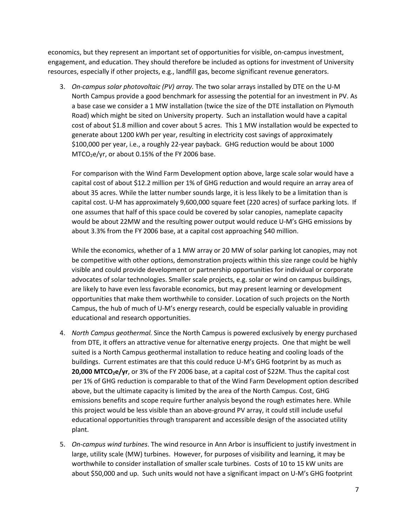economics, but they represent an important set of opportunities for visible, on-campus investment, engagement, and education. They should therefore be included as options for investment of University resources, especially if other projects, e.g., landfill gas, become significant revenue generators.

3. *On-campus solar photovoltaic (PV) array.* The two solar arrays installed by DTE on the U-M North Campus provide a good benchmark for assessing the potential for an investment in PV. As a base case we consider a 1 MW installation (twice the size of the DTE installation on Plymouth Road) which might be sited on University property. Such an installation would have a capital cost of about \$1.8 million and cover about 5 acres. This 1 MW installation would be expected to generate about 1200 kWh per year, resulting in electricity cost savings of approximately \$100,000 per year, i.e., a roughly 22-year payback. GHG reduction would be about 1000  $MTCO<sub>2</sub>e/yr$ , or about 0.15% of the FY 2006 base.

For comparison with the Wind Farm Development option above, large scale solar would have a capital cost of about \$12.2 million per 1% of GHG reduction and would require an array area of about 35 acres. While the latter number sounds large, it is less likely to be a limitation than is capital cost. U-M has approximately 9,600,000 square feet (220 acres) of surface parking lots. If one assumes that half of this space could be covered by solar canopies, nameplate capacity would be about 22MW and the resulting power output would reduce U-M's GHG emissions by about 3.3% from the FY 2006 base, at a capital cost approaching \$40 million.

While the economics, whether of a 1 MW array or 20 MW of solar parking lot canopies, may not be competitive with other options, demonstration projects within this size range could be highly visible and could provide development or partnership opportunities for individual or corporate advocates of solar technologies. Smaller scale projects, e.g. solar or wind on campus buildings, are likely to have even less favorable economics, but may present learning or development opportunities that make them worthwhile to consider. Location of such projects on the North Campus, the hub of much of U-M's energy research, could be especially valuable in providing educational and research opportunities.

- 4. *North Campus geothermal.* Since the North Campus is powered exclusively by energy purchased from DTE, it offers an attractive venue for alternative energy projects. One that might be well suited is a North Campus geothermal installation to reduce heating and cooling loads of the buildings. Current estimates are that this could reduce U-M's GHG footprint by as much as **20,000 MTCO<sub>2</sub>e/yr**, or 3% of the FY 2006 base, at a capital cost of \$22M. Thus the capital cost per 1% of GHG reduction is comparable to that of the Wind Farm Development option described above, but the ultimate capacity is limited by the area of the North Campus. Cost, GHG emissions benefits and scope require further analysis beyond the rough estimates here. While this project would be less visible than an above-ground PV array, it could still include useful educational opportunities through transparent and accessible design of the associated utility plant.
- 5. *On-campus wind turbines*. The wind resource in Ann Arbor is insufficient to justify investment in large, utility scale (MW) turbines. However, for purposes of visibility and learning, it may be worthwhile to consider installation of smaller scale turbines. Costs of 10 to 15 kW units are about \$50,000 and up. Such units would not have a significant impact on U-M's GHG footprint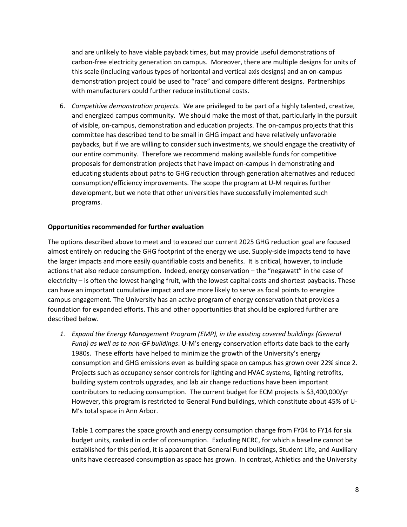and are unlikely to have viable payback times, but may provide useful demonstrations of carbon-free electricity generation on campus. Moreover, there are multiple designs for units of this scale (including various types of horizontal and vertical axis designs) and an on-campus demonstration project could be used to "race" and compare different designs. Partnerships with manufacturers could further reduce institutional costs.

6. *Competitive demonstration projects*. We are privileged to be part of a highly talented, creative, and energized campus community. We should make the most of that, particularly in the pursuit of visible, on-campus, demonstration and education projects. The on-campus projects that this committee has described tend to be small in GHG impact and have relatively unfavorable paybacks, but if we are willing to consider such investments, we should engage the creativity of our entire community. Therefore we recommend making available funds for competitive proposals for demonstration projects that have impact on-campus in demonstrating and educating students about paths to GHG reduction through generation alternatives and reduced consumption/efficiency improvements. The scope the program at U-M requires further development, but we note that other universities have successfully implemented such programs.

## **Opportunities recommended for further evaluation**

The options described above to meet and to exceed our current 2025 GHG reduction goal are focused almost entirely on reducing the GHG footprint of the energy we use. Supply-side impacts tend to have the larger impacts and more easily quantifiable costs and benefits. It is critical, however, to include actions that also reduce consumption. Indeed, energy conservation – the "negawatt" in the case of electricity – is often the lowest hanging fruit, with the lowest capital costs and shortest paybacks. These can have an important cumulative impact and are more likely to serve as focal points to energize campus engagement. The University has an active program of energy conservation that provides a foundation for expanded efforts. This and other opportunities that should be explored further are described below.

*1. Expand the Energy Management Program (EMP), in the existing covered buildings (General Fund) as well as to non-GF buildings*. U-M's energy conservation efforts date back to the early 1980s. These efforts have helped to minimize the growth of the University's energy consumption and GHG emissions even as building space on campus has grown over 22% since 2. Projects such as occupancy sensor controls for lighting and HVAC systems, lighting retrofits, building system controls upgrades, and lab air change reductions have been important contributors to reducing consumption. The current budget for ECM projects is \$3,400,000/yr However, this program is restricted to General Fund buildings, which constitute about 45% of U-M's total space in Ann Arbor.

Table 1 compares the space growth and energy consumption change from FY04 to FY14 for six budget units, ranked in order of consumption. Excluding NCRC, for which a baseline cannot be established for this period, it is apparent that General Fund buildings, Student Life, and Auxiliary units have decreased consumption as space has grown. In contrast, Athletics and the University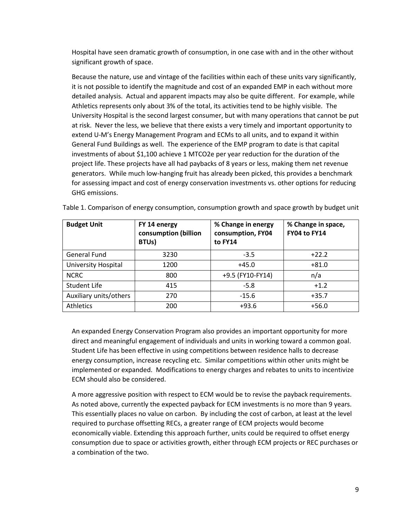Hospital have seen dramatic growth of consumption, in one case with and in the other without significant growth of space.

Because the nature, use and vintage of the facilities within each of these units vary significantly, it is not possible to identify the magnitude and cost of an expanded EMP in each without more detailed analysis. Actual and apparent impacts may also be quite different. For example, while Athletics represents only about 3% of the total, its activities tend to be highly visible. The University Hospital is the second largest consumer, but with many operations that cannot be put at risk. Never the less, we believe that there exists a very timely and important opportunity to extend U-M's Energy Management Program and ECMs to all units, and to expand it within General Fund Buildings as well. The experience of the EMP program to date is that capital investments of about \$1,100 achieve 1 MTCO2e per year reduction for the duration of the project life. These projects have all had paybacks of 8 years or less, making them net revenue generators. While much low-hanging fruit has already been picked, this provides a benchmark for assessing impact and cost of energy conservation investments vs. other options for reducing GHG emissions.

| <b>Budget Unit</b>     | FY 14 energy<br>consumption (billion<br>BTUs) | % Change in energy<br>consumption, FY04<br>to FY14 | % Change in space,<br>FY04 to FY14 |
|------------------------|-----------------------------------------------|----------------------------------------------------|------------------------------------|
| General Fund           | 3230                                          | $-3.5$                                             | $+22.2$                            |
| University Hospital    | 1200                                          | $+45.0$                                            | $+81.0$                            |
| <b>NCRC</b>            | 800                                           | +9.5 (FY10-FY14)                                   | n/a                                |
| Student Life           | 415                                           | $-5.8$                                             | $+1.2$                             |
| Auxiliary units/others | 270                                           | $-15.6$                                            | $+35.7$                            |
| <b>Athletics</b>       | 200                                           | $+93.6$                                            | $+56.0$                            |

Table 1. Comparison of energy consumption, consumption growth and space growth by budget unit

An expanded Energy Conservation Program also provides an important opportunity for more direct and meaningful engagement of individuals and units in working toward a common goal. Student Life has been effective in using competitions between residence halls to decrease energy consumption, increase recycling etc. Similar competitions within other units might be implemented or expanded. Modifications to energy charges and rebates to units to incentivize ECM should also be considered.

A more aggressive position with respect to ECM would be to revise the payback requirements. As noted above, currently the expected payback for ECM investments is no more than 9 years. This essentially places no value on carbon. By including the cost of carbon, at least at the level required to purchase offsetting RECs, a greater range of ECM projects would become economically viable. Extending this approach further, units could be required to offset energy consumption due to space or activities growth, either through ECM projects or REC purchases or a combination of the two.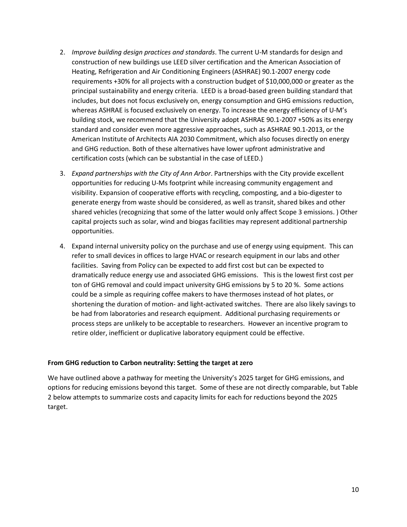- 2. *Improve building design practices and standards*. The current U-M standards for design and construction of new buildings use LEED silver certification and the American Association of Heating, Refrigeration and Air Conditioning Engineers (ASHRAE) 90.1-2007 energy code requirements +30% for all projects with a construction budget of \$10,000,000 or greater as the principal sustainability and energy criteria. LEED is a broad-based green building standard that includes, but does not focus exclusively on, energy consumption and GHG emissions reduction, whereas ASHRAE is focused exclusively on energy. To increase the energy efficiency of U-M's building stock, we recommend that the University adopt ASHRAE 90.1-2007 +50% as its energy standard and consider even more aggressive approaches, such as ASHRAE 90.1-2013, or the American Institute of Architects AIA 2030 Commitment, which also focuses directly on energy and GHG reduction. Both of these alternatives have lower upfront administrative and certification costs (which can be substantial in the case of LEED.)
- 3. *Expand partnerships with the City of Ann Arbor*. Partnerships with the City provide excellent opportunities for reducing U-Ms footprint while increasing community engagement and visibility. Expansion of cooperative efforts with recycling, composting, and a bio-digester to generate energy from waste should be considered, as well as transit, shared bikes and other shared vehicles (recognizing that some of the latter would only affect Scope 3 emissions. ) Other capital projects such as solar, wind and biogas facilities may represent additional partnership opportunities.
- 4. Expand internal university policy on the purchase and use of energy using equipment. This can refer to small devices in offices to large HVAC or research equipment in our labs and other facilities. Saving from Policy can be expected to add first cost but can be expected to dramatically reduce energy use and associated GHG emissions. This is the lowest first cost per ton of GHG removal and could impact university GHG emissions by 5 to 20 %. Some actions could be a simple as requiring coffee makers to have thermoses instead of hot plates, or shortening the duration of motion- and light-activated switches. There are also likely savings to be had from laboratories and research equipment. Additional purchasing requirements or process steps are unlikely to be acceptable to researchers. However an incentive program to retire older, inefficient or duplicative laboratory equipment could be effective.

## **From GHG reduction to Carbon neutrality: Setting the target at zero**

We have outlined above a pathway for meeting the University's 2025 target for GHG emissions, and options for reducing emissions beyond this target. Some of these are not directly comparable, but Table 2 below attempts to summarize costs and capacity limits for each for reductions beyond the 2025 target.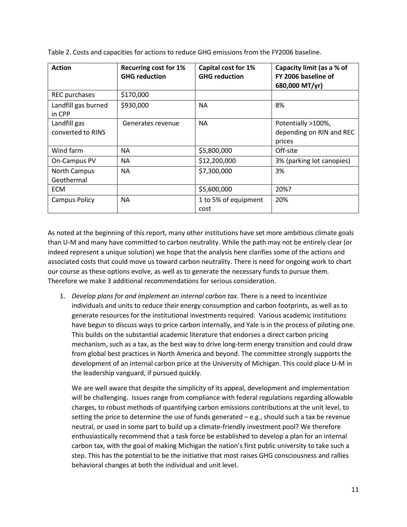| <b>Action</b>                     | <b>Recurring cost for 1%</b><br><b>GHG reduction</b> | Capital cost for 1%<br><b>GHG reduction</b> | Capacity limit (as a % of<br>FY 2006 baseline of<br>680,000 MT/yr) |
|-----------------------------------|------------------------------------------------------|---------------------------------------------|--------------------------------------------------------------------|
| <b>REC</b> purchases              | \$170,000                                            |                                             |                                                                    |
| Landfill gas burned<br>in CPP     | \$930,000                                            | <b>NA</b>                                   | 8%                                                                 |
| Landfill gas<br>converted to RINS | Generates revenue                                    | <b>NA</b>                                   | Potentially >100%,<br>depending on RIN and REC<br>prices           |
| Wind farm                         | <b>NA</b>                                            | \$5,800,000                                 | Off-site                                                           |
| On-Campus PV                      | <b>NA</b>                                            | \$12,200,000                                | 3% (parking lot canopies)                                          |
| <b>North Campus</b><br>Geothermal | <b>NA</b>                                            | \$7,300,000                                 | 3%                                                                 |
| <b>ECM</b>                        |                                                      | \$5,600,000                                 | 20%?                                                               |
| <b>Campus Policy</b>              | <b>NA</b>                                            | 1 to 5% of equipment<br>cost                | 20%                                                                |

Table 2. Costs and capacities for actions to reduce GHG emissions from the FY2006 baseline.

As noted at the beginning of this report, many other institutions have set more ambitious climate goals than U-M and many have committed to carbon neutrality. While the path may not be entirely clear (or indeed represent a unique solution) we hope that the analysis here clarifies some of the actions and associated costs that could move us toward carbon neutrality. There is need for ongoing work to chart our course as these options evolve, as well as to generate the necessary funds to pursue them. Therefore we make 3 additional recommendations for serious consideration.

1. *Develop plans for and implement an internal carbon tax*. There is a need to incentivize individuals and units to reduce their energy consumption and carbon footprints, as well as to generate resources for the institutional investments required. Various academic institutions have begun to discuss ways to price carbon internally, an[d Yale is in the process of piloting one.](http://news.yale.edu/2015/05/12/yale-carbon-charge-aims-tilt-people-s-behavior-low-carbon-activities-says-nordhaus) This builds on the substantial academic literature that endorses a direct carbon pricing mechanism, such as a tax, as the best way to drive long-term energy transition and could draw from global best practices in North America and beyond. The committee strongly supports the development of an internal carbon price at the University of Michigan. This could place U-M in the leadership vanguard, if pursued quickly.

We are well aware that despite the simplicity of its appeal, development and implementation will be challenging. Issues range from compliance with federal regulations regarding allowable charges, to robust methods of quantifying carbon emissions contributions at the unit level, to setting the price to determine the use of funds generated – e.g., should such a tax be revenue neutral, or used in some part to build up a climate-friendly investment pool? We therefore enthusiastically recommend that a task force be established to develop a plan for an internal carbon tax, with the goal of making Michigan the nation's first public university to take such a step. This has the potential to be the initiative that most raises GHG consciousness and rallies behavioral changes at both the individual and unit level.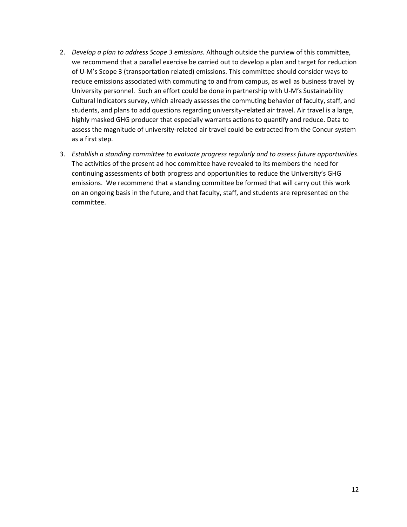- 2. *Develop a plan to address Scope 3 emissions.* Although outside the purview of this committee, we recommend that a parallel exercise be carried out to develop a plan and target for reduction of U-M's Scope 3 (transportation related) emissions. This committee should consider ways to reduce emissions associated with commuting to and from campus, as well as business travel by University personnel. Such an effort could be done in partnership with U-M'[s Sustainability](http://graham.umich.edu/leadership/scip)  [Cultural Indicators](http://graham.umich.edu/leadership/scip) survey, which already assesses the commuting behavior of faculty, staff, and students, and plans to add questions regarding university-related air travel. Air travel is a large, highly masked GHG producer that especially warrants actions to quantify and reduce. Data to assess the magnitude of university-related air travel could be extracted from the Concur system as a first step.
- 3. *Establish a standing committee to evaluate progress regularly and to assess future opportunities*. The activities of the present ad hoc committee have revealed to its members the need for continuing assessments of both progress and opportunities to reduce the University's GHG emissions. We recommend that a standing committee be formed that will carry out this work on an ongoing basis in the future, and that faculty, staff, and students are represented on the committee.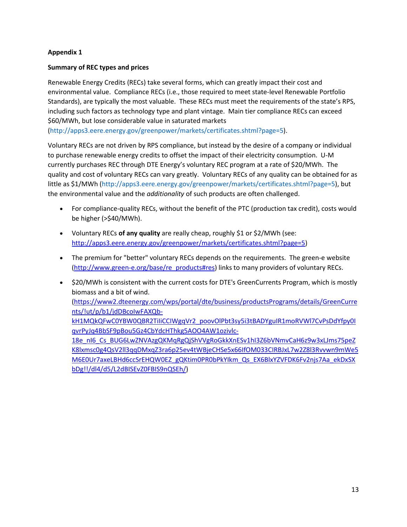## **Appendix 1**

## **Summary of REC types and prices**

Renewable Energy Credits (RECs) take several forms, which can greatly impact their cost and environmental value. Compliance RECs (i.e., those required to meet state-level Renewable Portfolio Standards), are typically the most valuable. These RECs must meet the requirements of the state's RPS, including such factors as technology type and plant vintage. Main tier compliance RECs can exceed \$60/MWh, but lose considerable value in saturated markets

[\(http://apps3.eere.energy.gov/greenpower/markets/certificates.shtml?page=5\)](http://apps3.eere.energy.gov/greenpower/markets/certificates.shtml?page=5).

Voluntary RECs are not driven by RPS compliance, but instead by the desire of a company or individual to purchase renewable energy credits to offset the impact of their electricity consumption. U-M currently purchases REC through DTE Energy's voluntary REC program at a rate of \$20/MWh. The quality and cost of voluntary RECs can vary greatly. Voluntary RECs of any quality can be obtained for as little as \$1/MWh [\(http://apps3.eere.energy.gov/greenpower/markets/certificates.shtml?page=5\)](http://apps3.eere.energy.gov/greenpower/markets/certificates.shtml?page=5), but the environmental value and the *additionality* of such products are often challenged.

- For compliance-quality RECs, without the benefit of the PTC (production tax credit), costs would be higher (>\$40/MWh).
- Voluntary RECs **of any quality** are really cheap, roughly \$1 or \$2/MWh (see: [http://apps3.eere.energy.gov/greenpower/markets/certificates.shtml?page=5\)](http://apps3.eere.energy.gov/greenpower/markets/certificates.shtml?page=5)
- The premium for "better" voluntary RECs depends on the requirements. The green-e website [\(http://www.green-e.org/base/re\\_products#res\)](http://www.green-e.org/base/re_products%23res) links to many providers of voluntary RECs.
- \$20/MWh is consistent with the current costs for DTE's GreenCurrents Program, which is mostly biomass and a bit of wind. [\(https://www2.dteenergy.com/wps/portal/dte/business/productsPrograms/details/GreenCurre](https://www2.dteenergy.com/wps/portal/dte/business/productsPrograms/details/GreenCurrents/%21ut/p/b1/jdDBcoIwFAXQb-kH1MQkQFwC0YBW0QBR2TiIiCCIWgqVr2_poovOlPbt3sy5i3tBADYguIR1moRVWl7CvPsDdYfpy0IqvrPyJq4BbSF9pBou5Gz4CbYdcHThkg5AOO4AW1ozivlc-18e_nI6_Cs_BUG6LwZNVAzgQKMqRgQjShVVgRoGkkXnESv1hI3Z6bVNmvCaH6z9w3xLJms75peZK8lxmsc0g4QsV2ll3qqDMxqZ3ra6p25ev4tWBjeCHSe5x66IfOM033CIRBJxL7w2Z8l3Rvvwn9mWe5M6E0Ur7axeLBHd6ccSrEHQW0EZ_gQKtim0PR0bPkYIkm_Qs_EX6BlxYZVFDK6Fv2njs7Aa_ekDxSXbDg%21%21/dl4/d5/L2dBISEvZ0FBIS9nQSEh/) [nts/!ut/p/b1/jdDBcoIwFAXQb](https://www2.dteenergy.com/wps/portal/dte/business/productsPrograms/details/GreenCurrents/%21ut/p/b1/jdDBcoIwFAXQb-kH1MQkQFwC0YBW0QBR2TiIiCCIWgqVr2_poovOlPbt3sy5i3tBADYguIR1moRVWl7CvPsDdYfpy0IqvrPyJq4BbSF9pBou5Gz4CbYdcHThkg5AOO4AW1ozivlc-18e_nI6_Cs_BUG6LwZNVAzgQKMqRgQjShVVgRoGkkXnESv1hI3Z6bVNmvCaH6z9w3xLJms75peZK8lxmsc0g4QsV2ll3qqDMxqZ3ra6p25ev4tWBjeCHSe5x66IfOM033CIRBJxL7w2Z8l3Rvvwn9mWe5M6E0Ur7axeLBHd6ccSrEHQW0EZ_gQKtim0PR0bPkYIkm_Qs_EX6BlxYZVFDK6Fv2njs7Aa_ekDxSXbDg%21%21/dl4/d5/L2dBISEvZ0FBIS9nQSEh/)kH1MQkQFwC0YBW0QBR2TiliCCIWgqVr2\_poovOlPbt3sy5i3tBADYguIR1moRVWl7CvPsDdYfpy0I [qvrPyJq4BbSF9pBou5Gz4CbYdcHThkg5AOO4AW1ozivlc-](https://www2.dteenergy.com/wps/portal/dte/business/productsPrograms/details/GreenCurrents/%21ut/p/b1/jdDBcoIwFAXQb-kH1MQkQFwC0YBW0QBR2TiIiCCIWgqVr2_poovOlPbt3sy5i3tBADYguIR1moRVWl7CvPsDdYfpy0IqvrPyJq4BbSF9pBou5Gz4CbYdcHThkg5AOO4AW1ozivlc-18e_nI6_Cs_BUG6LwZNVAzgQKMqRgQjShVVgRoGkkXnESv1hI3Z6bVNmvCaH6z9w3xLJms75peZK8lxmsc0g4QsV2ll3qqDMxqZ3ra6p25ev4tWBjeCHSe5x66IfOM033CIRBJxL7w2Z8l3Rvvwn9mWe5M6E0Ur7axeLBHd6ccSrEHQW0EZ_gQKtim0PR0bPkYIkm_Qs_EX6BlxYZVFDK6Fv2njs7Aa_ekDxSXbDg%21%21/dl4/d5/L2dBISEvZ0FBIS9nQSEh/)[18e\\_nI6\\_Cs\\_BUG6LwZNVAzgQKMqRgQjShVVgRoGkkXnESv1hI3Z6bVNmvCaH6z9w3xLJms75peZ](https://www2.dteenergy.com/wps/portal/dte/business/productsPrograms/details/GreenCurrents/%21ut/p/b1/jdDBcoIwFAXQb-kH1MQkQFwC0YBW0QBR2TiIiCCIWgqVr2_poovOlPbt3sy5i3tBADYguIR1moRVWl7CvPsDdYfpy0IqvrPyJq4BbSF9pBou5Gz4CbYdcHThkg5AOO4AW1ozivlc-18e_nI6_Cs_BUG6LwZNVAzgQKMqRgQjShVVgRoGkkXnESv1hI3Z6bVNmvCaH6z9w3xLJms75peZK8lxmsc0g4QsV2ll3qqDMxqZ3ra6p25ev4tWBjeCHSe5x66IfOM033CIRBJxL7w2Z8l3Rvvwn9mWe5M6E0Ur7axeLBHd6ccSrEHQW0EZ_gQKtim0PR0bPkYIkm_Qs_EX6BlxYZVFDK6Fv2njs7Aa_ekDxSXbDg%21%21/dl4/d5/L2dBISEvZ0FBIS9nQSEh/) [K8lxmsc0g4QsV2ll3qqDMxqZ3ra6p25ev4tWBjeCHSe5x66IfOM033CIRBJxL7w2Z8l3Rvvwn9mWe5](https://www2.dteenergy.com/wps/portal/dte/business/productsPrograms/details/GreenCurrents/%21ut/p/b1/jdDBcoIwFAXQb-kH1MQkQFwC0YBW0QBR2TiIiCCIWgqVr2_poovOlPbt3sy5i3tBADYguIR1moRVWl7CvPsDdYfpy0IqvrPyJq4BbSF9pBou5Gz4CbYdcHThkg5AOO4AW1ozivlc-18e_nI6_Cs_BUG6LwZNVAzgQKMqRgQjShVVgRoGkkXnESv1hI3Z6bVNmvCaH6z9w3xLJms75peZK8lxmsc0g4QsV2ll3qqDMxqZ3ra6p25ev4tWBjeCHSe5x66IfOM033CIRBJxL7w2Z8l3Rvvwn9mWe5M6E0Ur7axeLBHd6ccSrEHQW0EZ_gQKtim0PR0bPkYIkm_Qs_EX6BlxYZVFDK6Fv2njs7Aa_ekDxSXbDg%21%21/dl4/d5/L2dBISEvZ0FBIS9nQSEh/) [M6E0Ur7axeLBHd6ccSrEHQW0EZ\\_gQKtim0PR0bPkYIkm\\_Qs\\_EX6BlxYZVFDK6Fv2njs7Aa\\_ekDxSX](https://www2.dteenergy.com/wps/portal/dte/business/productsPrograms/details/GreenCurrents/%21ut/p/b1/jdDBcoIwFAXQb-kH1MQkQFwC0YBW0QBR2TiIiCCIWgqVr2_poovOlPbt3sy5i3tBADYguIR1moRVWl7CvPsDdYfpy0IqvrPyJq4BbSF9pBou5Gz4CbYdcHThkg5AOO4AW1ozivlc-18e_nI6_Cs_BUG6LwZNVAzgQKMqRgQjShVVgRoGkkXnESv1hI3Z6bVNmvCaH6z9w3xLJms75peZK8lxmsc0g4QsV2ll3qqDMxqZ3ra6p25ev4tWBjeCHSe5x66IfOM033CIRBJxL7w2Z8l3Rvvwn9mWe5M6E0Ur7axeLBHd6ccSrEHQW0EZ_gQKtim0PR0bPkYIkm_Qs_EX6BlxYZVFDK6Fv2njs7Aa_ekDxSXbDg%21%21/dl4/d5/L2dBISEvZ0FBIS9nQSEh/) [bDg!!/dl4/d5/L2dBISEvZ0FBIS9nQSEh/\)](https://www2.dteenergy.com/wps/portal/dte/business/productsPrograms/details/GreenCurrents/%21ut/p/b1/jdDBcoIwFAXQb-kH1MQkQFwC0YBW0QBR2TiIiCCIWgqVr2_poovOlPbt3sy5i3tBADYguIR1moRVWl7CvPsDdYfpy0IqvrPyJq4BbSF9pBou5Gz4CbYdcHThkg5AOO4AW1ozivlc-18e_nI6_Cs_BUG6LwZNVAzgQKMqRgQjShVVgRoGkkXnESv1hI3Z6bVNmvCaH6z9w3xLJms75peZK8lxmsc0g4QsV2ll3qqDMxqZ3ra6p25ev4tWBjeCHSe5x66IfOM033CIRBJxL7w2Z8l3Rvvwn9mWe5M6E0Ur7axeLBHd6ccSrEHQW0EZ_gQKtim0PR0bPkYIkm_Qs_EX6BlxYZVFDK6Fv2njs7Aa_ekDxSXbDg%21%21/dl4/d5/L2dBISEvZ0FBIS9nQSEh/)